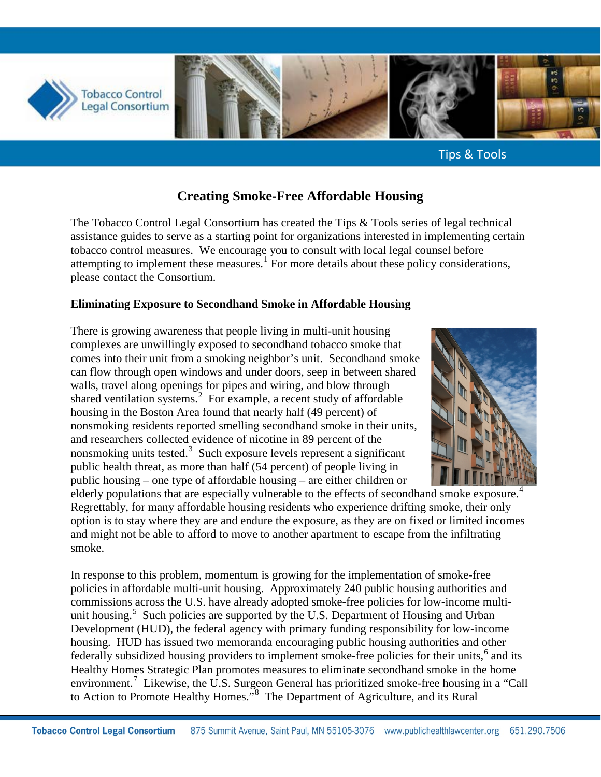

Tips & Tools

# **Creating Smoke-Free Affordable Housing**

The Tobacco Control Legal Consortium has created the Tips & Tools series of legal technical assistance guides to serve as a starting point for organizations interested in implementing certain tobacco control measures. We encourage you to consult with local legal counsel before attempting to implement these measures.<sup>[1](#page-7-0)</sup> For more details about these policy considerations, please contact the Consortium.

### **Eliminating Exposure to Secondhand Smoke in Affordable Housing**

There is growing awareness that people living in multi-unit housing complexes are unwillingly exposed to secondhand tobacco smoke that comes into their unit from a smoking neighbor's unit. Secondhand smoke can flow through open windows and under doors, seep in between shared walls, travel along openings for pipes and wiring, and blow through shared ventilation systems.<sup>[2](#page-7-1)</sup> For example, a recent study of affordable housing in the Boston Area found that nearly half (49 percent) of nonsmoking residents reported smelling secondhand smoke in their units, and researchers collected evidence of nicotine in 89 percent of the nonsmoking units tested.<sup>[3](#page-7-2)</sup> Such exposure levels represent a significant public health threat, as more than half (54 percent) of people living in public housing – one type of affordable housing – are either children or



elderly populations that are especially vulnerable to the effects of secondhand smoke exposure.<sup>[4](#page-7-3)</sup> Regrettably, for many affordable housing residents who experience drifting smoke, their only option is to stay where they are and endure the exposure, as they are on fixed or limited incomes and might not be able to afford to move to another apartment to escape from the infiltrating smoke.

In response to this problem, momentum is growing for the implementation of smoke-free policies in affordable multi-unit housing. Approximately 240 public housing authorities and commissions across the U.S. have already adopted smoke-free policies for low-income multi-unit housing.<sup>[5](#page-7-4)</sup> Such policies are supported by the U.S. Department of Housing and Urban Development (HUD), the federal agency with primary funding responsibility for low-income housing. HUD has issued two memoranda encouraging public housing authorities and other federally subsidized housing providers to implement smoke-free policies for their units,<sup>[6](#page-7-5)</sup> and its Healthy Homes Strategic Plan promotes measures to eliminate secondhand smoke in the home environment.<sup>[7](#page-7-6)</sup> Likewise, the U.S. Surgeon General has prioritized smoke-free housing in a "Call to Action to Promote Healthy Homes."<sup>[8](#page-7-7)</sup> The Department of Agriculture, and its Rural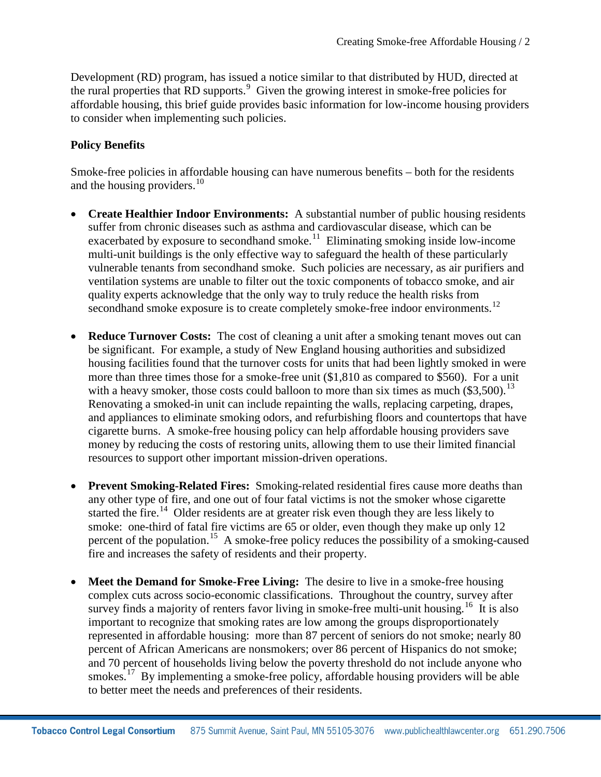Development (RD) program, has issued a notice similar to that distributed by HUD, directed at the rural properties that RD supports.<sup>[9](#page-8-0)</sup> Given the growing interest in smoke-free policies for affordable housing, this brief guide provides basic information for low-income housing providers to consider when implementing such policies.

### **Policy Benefits**

Smoke-free policies in affordable housing can have numerous benefits – both for the residents and the housing providers. $10<sup>10</sup>$ 

- **Create Healthier Indoor Environments:** A substantial number of public housing residents suffer from chronic diseases such as asthma and cardiovascular disease, which can be exacerbated by exposure to secondhand smoke.<sup>11</sup> Eliminating smoking inside low-income multi-unit buildings is the only effective way to safeguard the health of these particularly vulnerable tenants from secondhand smoke. Such policies are necessary, as air purifiers and ventilation systems are unable to filter out the toxic components of tobacco smoke, and air quality experts acknowledge that the only way to truly reduce the health risks from secondhand smoke exposure is to create completely smoke-free indoor environments.<sup>[12](#page-8-3)</sup>
- **Reduce Turnover Costs:** The cost of cleaning a unit after a smoking tenant moves out can be significant. For example, a study of New England housing authorities and subsidized housing facilities found that the turnover costs for units that had been lightly smoked in were more than three times those for a smoke-free unit (\$1,810 as compared to \$560). For a unit with a heavy smoker, those costs could balloon to more than six times as much  $(\$3,500)$ .<sup>13</sup> Renovating a smoked-in unit can include repainting the walls, replacing carpeting, drapes, and appliances to eliminate smoking odors, and refurbishing floors and countertops that have cigarette burns. A smoke-free housing policy can help affordable housing providers save money by reducing the costs of restoring units, allowing them to use their limited financial resources to support other important mission-driven operations.
- **Prevent Smoking-Related Fires:** Smoking-related residential fires cause more deaths than any other type of fire, and one out of four fatal victims is not the smoker whose cigarette started the fire.<sup>[14](#page-8-5)</sup> Older residents are at greater risk even though they are less likely to smoke: one-third of fatal fire victims are 65 or older, even though they make up only 12 percent of the population.<sup>[15](#page-8-6)</sup> A smoke-free policy reduces the possibility of a smoking-caused fire and increases the safety of residents and their property.
- **Meet the Demand for Smoke-Free Living:** The desire to live in a smoke-free housing complex cuts across socio-economic classifications. Throughout the country, survey after survey finds a majority of renters favor living in smoke-free multi-unit housing.<sup>16</sup> It is also important to recognize that smoking rates are low among the groups disproportionately represented in affordable housing: more than 87 percent of seniors do not smoke; nearly 80 percent of African Americans are nonsmokers; over 86 percent of Hispanics do not smoke; and 70 percent of households living below the poverty threshold do not include anyone who smokes.<sup>17</sup> By implementing a smoke-free policy, affordable housing providers will be able to better meet the needs and preferences of their residents.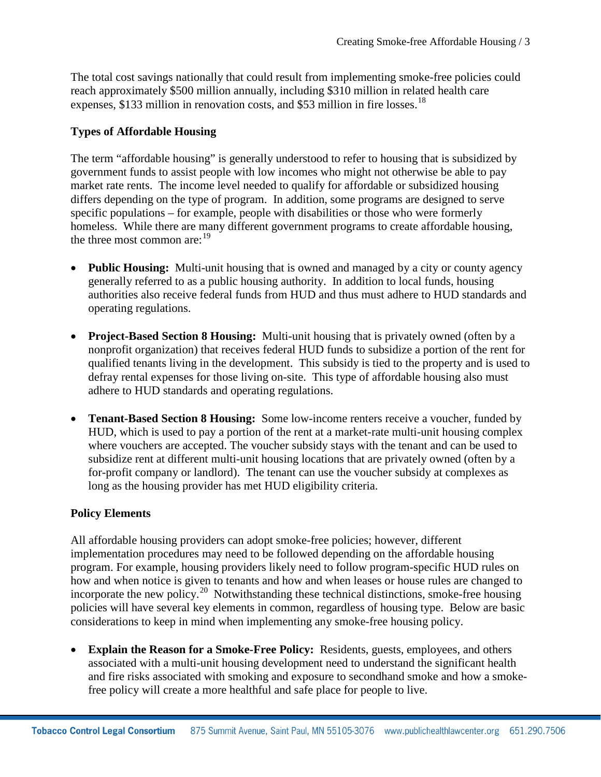The total cost savings nationally that could result from implementing smoke-free policies could reach approximately \$500 million annually, including \$310 million in related health care expenses, \$133 million in renovation costs, and \$53 million in fire losses.<sup>[18](#page-8-9)</sup>

## **Types of Affordable Housing**

The term "affordable housing" is generally understood to refer to housing that is subsidized by government funds to assist people with low incomes who might not otherwise be able to pay market rate rents. The income level needed to qualify for affordable or subsidized housing differs depending on the type of program. In addition, some programs are designed to serve specific populations – for example, people with disabilities or those who were formerly homeless. While there are many different government programs to create affordable housing, the three most common are:<sup>[19](#page-8-10)</sup>

- **Public Housing:** Multi-unit housing that is owned and managed by a city or county agency generally referred to as a public housing authority. In addition to local funds, housing authorities also receive federal funds from HUD and thus must adhere to HUD standards and operating regulations.
- **Project-Based Section 8 Housing:** Multi-unit housing that is privately owned (often by a nonprofit organization) that receives federal HUD funds to subsidize a portion of the rent for qualified tenants living in the development. This subsidy is tied to the property and is used to defray rental expenses for those living on-site. This type of affordable housing also must adhere to HUD standards and operating regulations.
- **Tenant-Based Section 8 Housing:** Some low-income renters receive a voucher, funded by HUD, which is used to pay a portion of the rent at a market-rate multi-unit housing complex where vouchers are accepted. The voucher subsidy stays with the tenant and can be used to subsidize rent at different multi-unit housing locations that are privately owned (often by a for-profit company or landlord). The tenant can use the voucher subsidy at complexes as long as the housing provider has met HUD eligibility criteria.

#### **Policy Elements**

All affordable housing providers can adopt smoke-free policies; however, different implementation procedures may need to be followed depending on the affordable housing program. For example, housing providers likely need to follow program-specific HUD rules on how and when notice is given to tenants and how and when leases or house rules are changed to incorporate the new policy.<sup>20</sup> Notwithstanding these technical distinctions, smoke-free housing policies will have several key elements in common, regardless of housing type. Below are basic considerations to keep in mind when implementing any smoke-free housing policy.

**Explain the Reason for a Smoke-Free Policy:** Residents, guests, employees, and others associated with a multi-unit housing development need to understand the significant health and fire risks associated with smoking and exposure to secondhand smoke and how a smokefree policy will create a more healthful and safe place for people to live.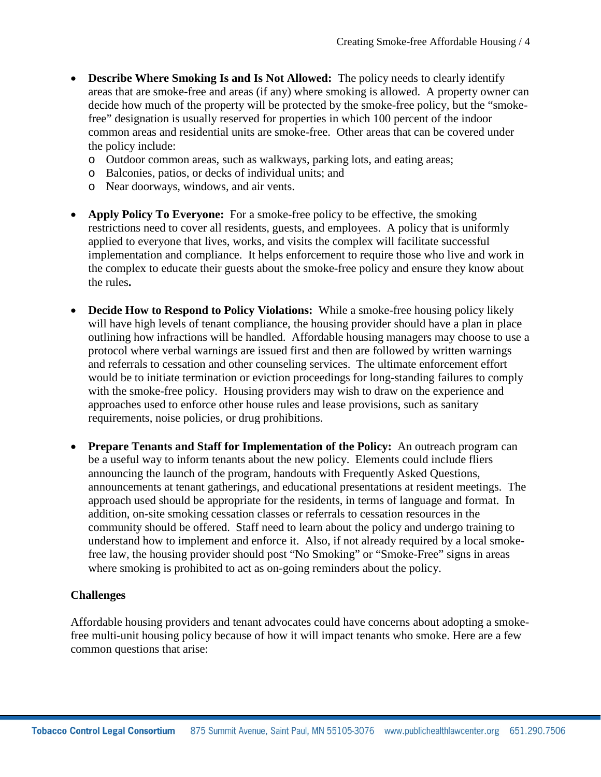- **Describe Where Smoking Is and Is Not Allowed:** The policy needs to clearly identify areas that are smoke-free and areas (if any) where smoking is allowed. A property owner can decide how much of the property will be protected by the smoke-free policy, but the "smokefree" designation is usually reserved for properties in which 100 percent of the indoor common areas and residential units are smoke-free. Other areas that can be covered under the policy include:
	- o Outdoor common areas, such as walkways, parking lots, and eating areas;
	- o Balconies, patios, or decks of individual units; and
	- o Near doorways, windows, and air vents.
- **Apply Policy To Everyone:** For a smoke-free policy to be effective, the smoking restrictions need to cover all residents, guests, and employees. A policy that is uniformly applied to everyone that lives, works, and visits the complex will facilitate successful implementation and compliance. It helps enforcement to require those who live and work in the complex to educate their guests about the smoke-free policy and ensure they know about the rules**.**
- **Decide How to Respond to Policy Violations:** While a smoke-free housing policy likely will have high levels of tenant compliance, the housing provider should have a plan in place outlining how infractions will be handled. Affordable housing managers may choose to use a protocol where verbal warnings are issued first and then are followed by written warnings and referrals to cessation and other counseling services. The ultimate enforcement effort would be to initiate termination or eviction proceedings for long-standing failures to comply with the smoke-free policy. Housing providers may wish to draw on the experience and approaches used to enforce other house rules and lease provisions, such as sanitary requirements, noise policies, or drug prohibitions.
- **Prepare Tenants and Staff for Implementation of the Policy:** An outreach program can be a useful way to inform tenants about the new policy. Elements could include fliers announcing the launch of the program, handouts with Frequently Asked Questions, announcements at tenant gatherings, and educational presentations at resident meetings. The approach used should be appropriate for the residents, in terms of language and format. In addition, on-site smoking cessation classes or referrals to cessation resources in the community should be offered. Staff need to learn about the policy and undergo training to understand how to implement and enforce it. Also, if not already required by a local smokefree law, the housing provider should post "No Smoking" or "Smoke-Free" signs in areas where smoking is prohibited to act as on-going reminders about the policy.

#### **Challenges**

Affordable housing providers and tenant advocates could have concerns about adopting a smokefree multi-unit housing policy because of how it will impact tenants who smoke. Here are a few common questions that arise: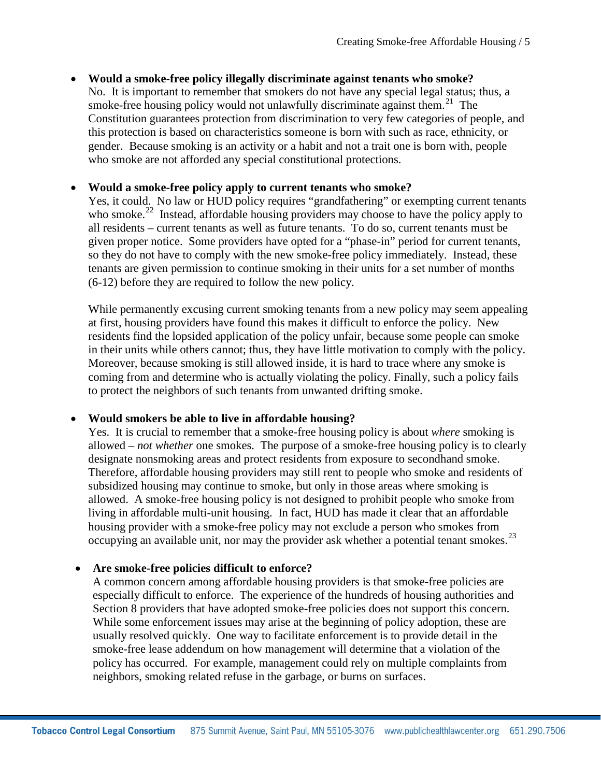# • **Would a smoke-free policy illegally discriminate against tenants who smoke?**

No. It is important to remember that smokers do not have any special legal status; thus, a smoke-free housing policy would not unlawfully discriminate against them.<sup>[21](#page-8-12)</sup> The Constitution guarantees protection from discrimination to very few categories of people, and this protection is based on characteristics someone is born with such as race, ethnicity, or gender. Because smoking is an activity or a habit and not a trait one is born with, people who smoke are not afforded any special constitutional protections.

#### • **Would a smoke-free policy apply to current tenants who smoke?**

Yes, it could. No law or HUD policy requires "grandfathering" or exempting current tenants who smoke.<sup>22</sup> Instead, affordable housing providers may choose to have the policy apply to all residents – current tenants as well as future tenants. To do so, current tenants must be given proper notice. Some providers have opted for a "phase-in" period for current tenants, so they do not have to comply with the new smoke-free policy immediately. Instead, these tenants are given permission to continue smoking in their units for a set number of months (6-12) before they are required to follow the new policy.

While permanently excusing current smoking tenants from a new policy may seem appealing at first, housing providers have found this makes it difficult to enforce the policy. New residents find the lopsided application of the policy unfair, because some people can smoke in their units while others cannot; thus, they have little motivation to comply with the policy. Moreover, because smoking is still allowed inside, it is hard to trace where any smoke is coming from and determine who is actually violating the policy. Finally, such a policy fails to protect the neighbors of such tenants from unwanted drifting smoke.

#### • **Would smokers be able to live in affordable housing?**

Yes. It is crucial to remember that a smoke-free housing policy is about *where* smoking is allowed – *not whether* one smokes. The purpose of a smoke-free housing policy is to clearly designate nonsmoking areas and protect residents from exposure to secondhand smoke. Therefore, affordable housing providers may still rent to people who smoke and residents of subsidized housing may continue to smoke, but only in those areas where smoking is allowed. A smoke-free housing policy is not designed to prohibit people who smoke from living in affordable multi-unit housing. In fact, HUD has made it clear that an affordable housing provider with a smoke-free policy may not exclude a person who smokes from occupying an available unit, nor may the provider ask whether a potential tenant smokes.<sup>[23](#page-8-14)</sup>

#### • **Are smoke-free policies difficult to enforce?**

A common concern among affordable housing providers is that smoke-free policies are especially difficult to enforce. The experience of the hundreds of housing authorities and Section 8 providers that have adopted smoke-free policies does not support this concern. While some enforcement issues may arise at the beginning of policy adoption, these are usually resolved quickly. One way to facilitate enforcement is to provide detail in the smoke-free lease addendum on how management will determine that a violation of the policy has occurred. For example, management could rely on multiple complaints from neighbors, smoking related refuse in the garbage, or burns on surfaces.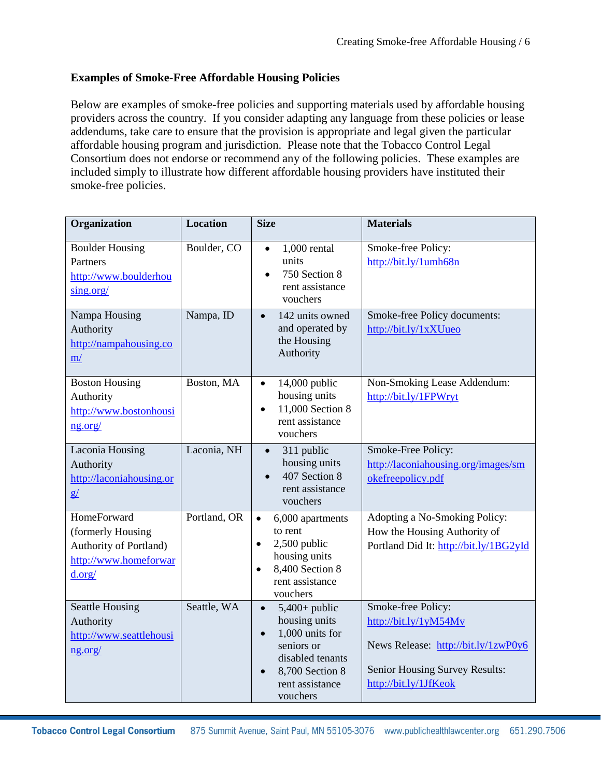## **Examples of Smoke-Free Affordable Housing Policies**

Below are examples of smoke-free policies and supporting materials used by affordable housing providers across the country. If you consider adapting any language from these policies or lease addendums, take care to ensure that the provision is appropriate and legal given the particular affordable housing program and jurisdiction. Please note that the Tobacco Control Legal Consortium does not endorse or recommend any of the following policies. These examples are included simply to illustrate how different affordable housing providers have instituted their smoke-free policies.

| Organization                                                                                         | <b>Location</b> | <b>Size</b>                                                                                                                                                                    | <b>Materials</b>                                                                                                                              |
|------------------------------------------------------------------------------------------------------|-----------------|--------------------------------------------------------------------------------------------------------------------------------------------------------------------------------|-----------------------------------------------------------------------------------------------------------------------------------------------|
| <b>Boulder Housing</b><br>Partners<br>http://www.boulderhou<br>sing.org/                             | Boulder, CO     | $1,000$ rental<br>$\bullet$<br>units<br>750 Section 8<br>rent assistance<br>vouchers                                                                                           | Smoke-free Policy:<br>http://bit.ly/1umh68n                                                                                                   |
| Nampa Housing<br>Authority<br>http://nampahousing.co<br>m/                                           | Nampa, ID       | 142 units owned<br>$\bullet$<br>and operated by<br>the Housing<br>Authority                                                                                                    | Smoke-free Policy documents:<br>http://bit.ly/1xXUueo                                                                                         |
| <b>Boston Housing</b><br>Authority<br>http://www.bostonhousi<br>ng.org/                              | Boston, MA      | 14,000 public<br>$\bullet$<br>housing units<br>11,000 Section 8<br>$\bullet$<br>rent assistance<br>vouchers                                                                    | Non-Smoking Lease Addendum:<br>http://bit.ly/1FPWryt                                                                                          |
| Laconia Housing<br>Authority<br>http://laconiahousing.or<br>g/                                       | Laconia, NH     | 311 public<br>$\bullet$<br>housing units<br>407 Section 8<br>rent assistance<br>vouchers                                                                                       | Smoke-Free Policy:<br>http://laconiahousing.org/images/sm<br>okefreepolicy.pdf                                                                |
| HomeForward<br>(formerly Housing<br><b>Authority of Portland)</b><br>http://www.homeforwar<br>d.org/ | Portland, OR    | 6,000 apartments<br>$\bullet$<br>to rent<br>2,500 public<br>$\bullet$<br>housing units<br>8,400 Section 8<br>$\bullet$<br>rent assistance<br>vouchers                          | Adopting a No-Smoking Policy:<br>How the Housing Authority of<br>Portland Did It: http://bit.ly/1BG2yId                                       |
| <b>Seattle Housing</b><br>Authority<br>http://www.seattlehousi<br>ng.org/                            | Seattle, WA     | $5,400+$ public<br>$\bullet$<br>housing units<br>1,000 units for<br>$\bullet$<br>seniors or<br>disabled tenants<br>8,700 Section 8<br>$\bullet$<br>rent assistance<br>vouchers | Smoke-free Policy:<br>http://bit.ly/1yM54Mv<br>News Release: http://bit.ly/1zwP0y6<br>Senior Housing Survey Results:<br>http://bit.ly/1JfKeok |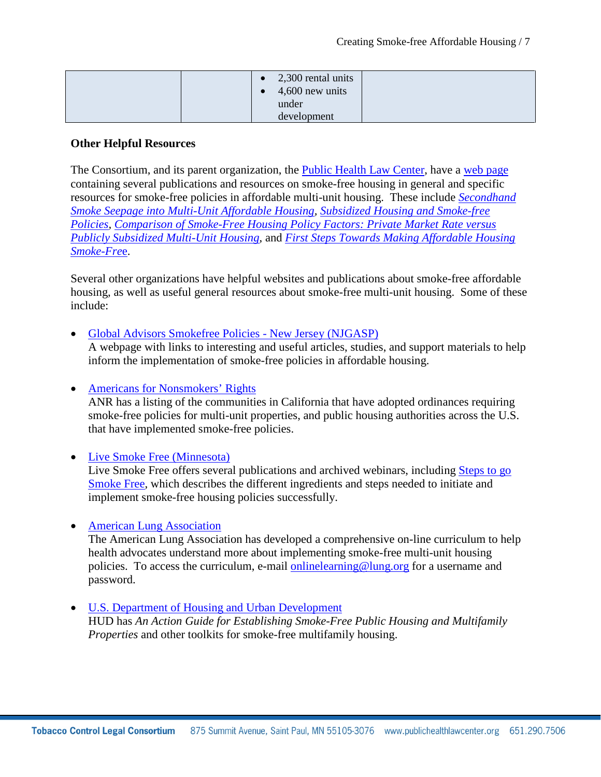| 2,300 rental units<br>$\bullet$<br>4,600 new units |
|----------------------------------------------------|
| under<br>development                               |

#### **Other Helpful Resources**

The Consortium, and its parent organization, the [Public Health Law Center,](http://www.publichealthlawcenter.org/) have a [web page](http://www.publichealthlawcenter.org/topics/tobacco-control/smoke-free-tobacco-free-places/housing) containing several publications and resources on smoke-free housing in general and specific resources for smoke-free policies in affordable multi-unit housing. These include *[Secondhand](http://www.publichealthlawcenter.org/sites/default/files/resources/tclc-syn-secondhand-2010_0.pdf)  [Smoke Seepage into Multi-Unit Affordable Housing,](http://www.publichealthlawcenter.org/sites/default/files/resources/tclc-syn-secondhand-2010_0.pdf) [Subsidized Housing and Smoke-free](http://www.publichealthlawcenter.org/sites/default/files/resources/ship-fs-subsidizedhousing-2011.pdf)  [Policies,](http://www.publichealthlawcenter.org/sites/default/files/resources/ship-fs-subsidizedhousing-2011.pdf) [Comparison of Smoke-Free Housing Policy Factors: Private Market Rate versus](http://publichealthlawcenter.org/sites/default/files/resources/phlc-fs-chart-multiunit-housing-comparison-2014.pdf)  [Publicly Subsidized Multi-Unit Housing](http://publichealthlawcenter.org/sites/default/files/resources/phlc-fs-chart-multiunit-housing-comparison-2014.pdf)*, and *[First Steps Towards Making Affordable Housing](http://www.publichealthlawcenter.org/sites/default/files/resources/tclc-fs-firststeps-affordablehousing-smokefree-2012_0.pdf)  [Smoke-Fre](http://www.publichealthlawcenter.org/sites/default/files/resources/tclc-fs-firststeps-affordablehousing-smokefree-2012_0.pdf)*e.

Several other organizations have helpful websites and publications about smoke-free affordable housing, as well as useful general resources about smoke-free multi-unit housing. Some of these include:

• [Global Advisors Smokefree Policies -](http://www.njgasp.org/multi-unit-housing/smokefree-public-housing) New Jersey (NJGASP)

A webpage with links to interesting and useful articles, studies, and support materials to help inform the implementation of smoke-free policies in affordable housing.

• [Americans for Nonsmokers' Rights](http://www.no-smoke.org/pdf/smokefreemuh.pdf)

ANR has a listing of the communities in California that have adopted ordinances requiring smoke-free policies for multi-unit properties, and public housing authorities across the U.S. that have implemented smoke-free policies.

• [Live Smoke Free \(Minnesota\)](http://www.mnsmokefreehousing.org/)

Live Smoke Free offers several publications and archived webinars, including Steps to go [Smoke Free,](http://www.mnsmokefreehousing.org/landlords/steps_smokefree) which describes the different ingredients and steps needed to initiate and implement smoke-free housing policies successfully.

• [American Lung Association](http://www.lungusa.org/stop-smoking/about-smoking/smokefree-housing.html)

The American Lung Association has developed a comprehensive on-line curriculum to help health advocates understand more about implementing smoke-free multi-unit housing policies. To access the curriculum, e-mail [onlinelearning@lung.org](mailto:onlinelearning@lung.org) for a username and password.

• [U.S. Department of Housing and Urban Development](http://portal.hud.gov/hudportal/HUD?src=/smokefreetoolkits1) HUD has *An Action Guide for Establishing Smoke-Free Public Housing and Multifamily Properties* and other toolkits for smoke-free multifamily housing.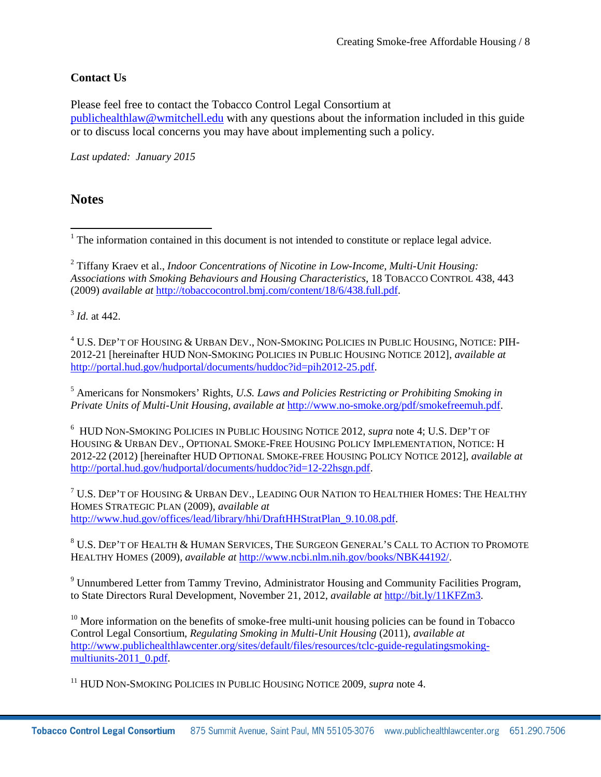# **Contact Us**

Please feel free to contact the Tobacco Control Legal Consortium at [publichealthlaw@wmitchell.edu](mailto:publichealthlaw@wmitchell.edu) with any questions about the information included in this guide or to discuss local concerns you may have about implementing such a policy.

*Last updated: January 2015*

# **Notes**

<span id="page-7-1"></span><sup>2</sup> Tiffany Kraev et al., *Indoor Concentrations of Nicotine in Low-Income, Multi-Unit Housing: Associations with Smoking Behaviours and Housing Characteristics*, 18 TOBACCO CONTROL 438, 443 (2009) *available at* [http://tobaccocontrol.bmj.com/content/18/6/438.full.pdf.](http://tobaccocontrol.bmj.com/content/18/6/438.full.pdf)

<span id="page-7-2"></span><sup>3</sup> *Id.* at 442.

<span id="page-7-3"></span><sup>4</sup> U.S. DEP'T OF HOUSING & URBAN DEV., NON-SMOKING POLICIES IN PUBLIC HOUSING, NOTICE: PIH-2012-21 [hereinafter HUD NON-SMOKING POLICIES IN PUBLIC HOUSING NOTICE 2012], *available at* [http://portal.hud.gov/hudportal/documents/huddoc?id=pih2012-25.pdf.](http://portal.hud.gov/hudportal/documents/huddoc?id=pih2012-25.pdf)

<span id="page-7-4"></span><sup>5</sup> Americans for Nonsmokers' Rights, *U.S. Laws and Policies Restricting or Prohibiting Smoking in Private Units of Multi-Unit Housing, available at* [http://www.no-smoke.org/pdf/smokefreemuh.pdf.](http://www.no-smoke.org/pdf/smokefreemuh.pdf)

<span id="page-7-5"></span>6 HUD NON-SMOKING POLICIES IN PUBLIC HOUSING NOTICE 2012, *supra* note 4; U.S. DEP'T OF HOUSING & URBAN DEV., OPTIONAL SMOKE-FREE HOUSING POLICY IMPLEMENTATION, NOTICE: H 2012-22 (2012) [hereinafter HUD OPTIONAL SMOKE-FREE HOUSING POLICY NOTICE 2012], *available at* [http://portal.hud.gov/hudportal/documents/huddoc?id=12-22hsgn.pdf.](http://portal.hud.gov/hudportal/documents/huddoc?id=12-22hsgn.pdf)

<span id="page-7-6"></span> $7$  U.S. Dep't of Housing & Urban Dev., Leading Our Nation to Healthier Homes: The Healthy HOMES STRATEGIC PLAN (2009), *available at* [http://www.hud.gov/offices/lead/library/hhi/DraftHHStratPlan\\_9.10.08.pdf.](http://www.hud.gov/offices/lead/library/hhi/DraftHHStratPlan_9.10.08.pdf)

<span id="page-7-7"></span><sup>8</sup> U.S. DEP'T OF HEALTH & HUMAN SERVICES, THE SURGEON GENERAL'S CALL TO ACTION TO PROMOTE HEALTHY HOMES (2009), *available at* [http://www.ncbi.nlm.nih.gov/books/NBK44192/.](http://www.ncbi.nlm.nih.gov/books/NBK44192/)

<sup>9</sup> Unnumbered Letter from Tammy Trevino, Administrator Housing and Community Facilities Program, to State Directors Rural Development, November 21, 2012, *available at* [http://bit.ly/11KFZm3.](http://bit.ly/11KFZm3)

 $10$  More information on the benefits of smoke-free multi-unit housing policies can be found in Tobacco Control Legal Consortium, *Regulating Smoking in Multi-Unit Housing* (2011), *available at* [http://www.publichealthlawcenter.org/sites/default/files/resources/tclc-guide-regulatingsmoking](http://www.publichealthlawcenter.org/sites/default/files/resources/tclc-guide-regulatingsmoking-multiunits-2011_0.pdf)[multiunits-2011\\_0.pdf.](http://www.publichealthlawcenter.org/sites/default/files/resources/tclc-guide-regulatingsmoking-multiunits-2011_0.pdf)

<sup>11</sup> HUD NON-SMOKING POLICIES IN PUBLIC HOUSING NOTICE 2009, *supra* note 4.

<span id="page-7-0"></span>l <sup>1</sup> The information contained in this document is not intended to constitute or replace legal advice.